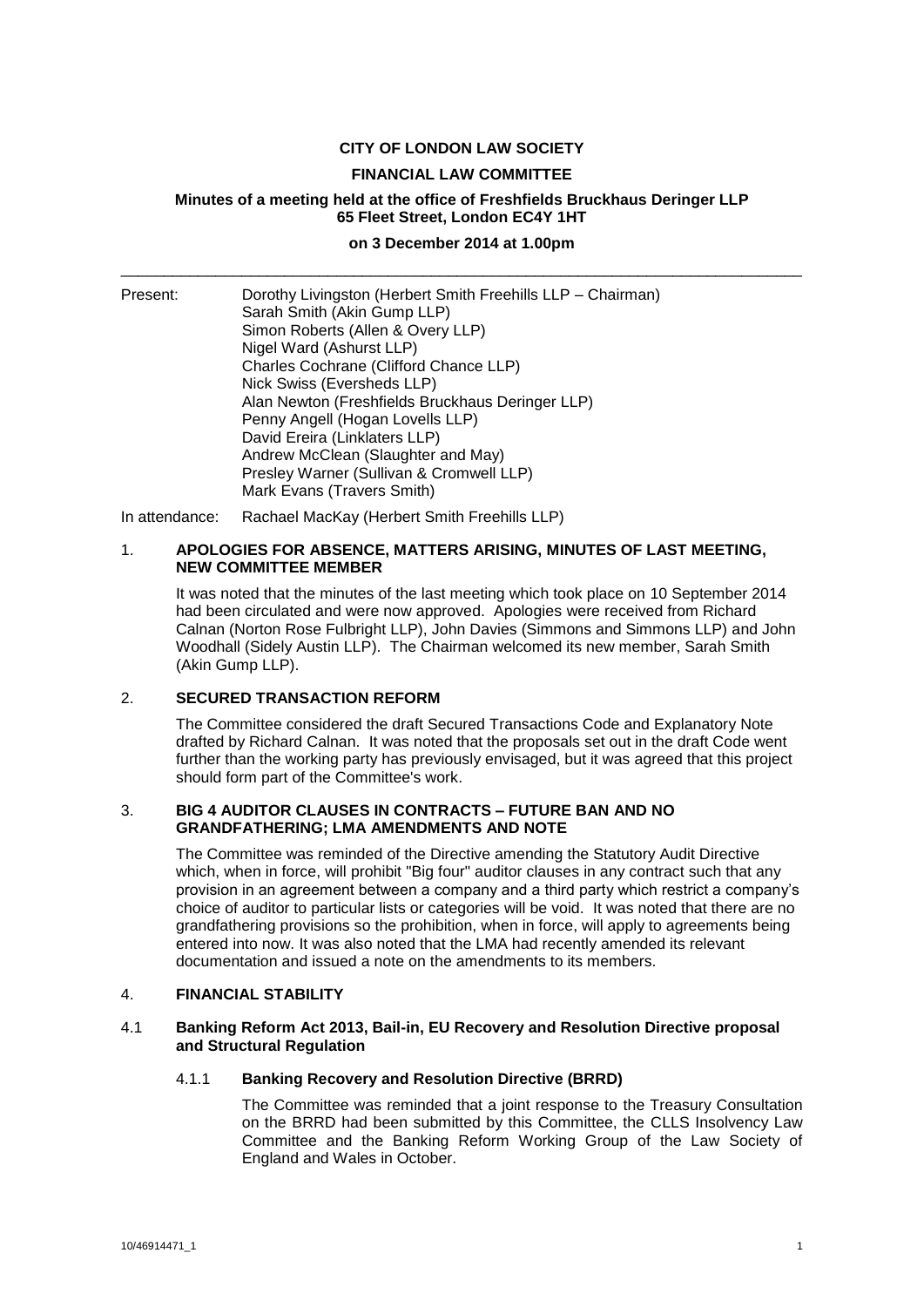# **CITY OF LONDON LAW SOCIETY**

#### **FINANCIAL LAW COMMITTEE**

# **Minutes of a meeting held at the office of Freshfields Bruckhaus Deringer LLP 65 Fleet Street, London EC4Y 1HT**

# **on 3 December 2014 at 1.00pm** \_\_\_\_\_\_\_\_\_\_\_\_\_\_\_\_\_\_\_\_\_\_\_\_\_\_\_\_\_\_\_\_\_\_\_\_\_\_\_\_\_\_\_\_\_\_\_\_\_\_\_\_\_\_\_\_\_\_\_\_\_\_\_\_\_\_\_\_\_\_\_\_\_\_\_\_\_\_\_

| Present: | Dorothy Livingston (Herbert Smith Freehills LLP – Chairman)<br>Sarah Smith (Akin Gump LLP)<br>Simon Roberts (Allen & Overy LLP)<br>Nigel Ward (Ashurst LLP)<br>Charles Cochrane (Clifford Chance LLP)<br>Nick Swiss (Eversheds LLP)<br>Alan Newton (Freshfields Bruckhaus Deringer LLP)<br>Penny Angell (Hogan Lovells LLP)<br>David Ereira (Linklaters LLP)<br>Andrew McClean (Slaughter and May)<br>Presley Warner (Sullivan & Cromwell LLP) |
|----------|------------------------------------------------------------------------------------------------------------------------------------------------------------------------------------------------------------------------------------------------------------------------------------------------------------------------------------------------------------------------------------------------------------------------------------------------|
|          | Mark Evans (Travers Smith)                                                                                                                                                                                                                                                                                                                                                                                                                     |

In attendance: Rachael MacKay (Herbert Smith Freehills LLP)

#### 1. **APOLOGIES FOR ABSENCE, MATTERS ARISING, MINUTES OF LAST MEETING, NEW COMMITTEE MEMBER**

It was noted that the minutes of the last meeting which took place on 10 September 2014 had been circulated and were now approved. Apologies were received from Richard Calnan (Norton Rose Fulbright LLP), John Davies (Simmons and Simmons LLP) and John Woodhall (Sidely Austin LLP). The Chairman welcomed its new member, Sarah Smith (Akin Gump LLP).

# 2. **SECURED TRANSACTION REFORM**

The Committee considered the draft Secured Transactions Code and Explanatory Note drafted by Richard Calnan. It was noted that the proposals set out in the draft Code went further than the working party has previously envisaged, but it was agreed that this project should form part of the Committee's work.

#### 3. **BIG 4 AUDITOR CLAUSES IN CONTRACTS – FUTURE BAN AND NO GRANDFATHERING; LMA AMENDMENTS AND NOTE**

The Committee was reminded of the Directive amending the Statutory Audit Directive which, when in force, will prohibit "Big four" auditor clauses in any contract such that any provision in an agreement between a company and a third party which restrict a company's choice of auditor to particular lists or categories will be void. It was noted that there are no grandfathering provisions so the prohibition, when in force, will apply to agreements being entered into now. It was also noted that the LMA had recently amended its relevant documentation and issued a note on the amendments to its members.

#### 4. **FINANCIAL STABILITY**

#### 4.1 **Banking Reform Act 2013, Bail-in, EU Recovery and Resolution Directive proposal and Structural Regulation**

### 4.1.1 **Banking Recovery and Resolution Directive (BRRD)**

The Committee was reminded that a joint response to the Treasury Consultation on the BRRD had been submitted by this Committee, the CLLS Insolvency Law Committee and the Banking Reform Working Group of the Law Society of England and Wales in October.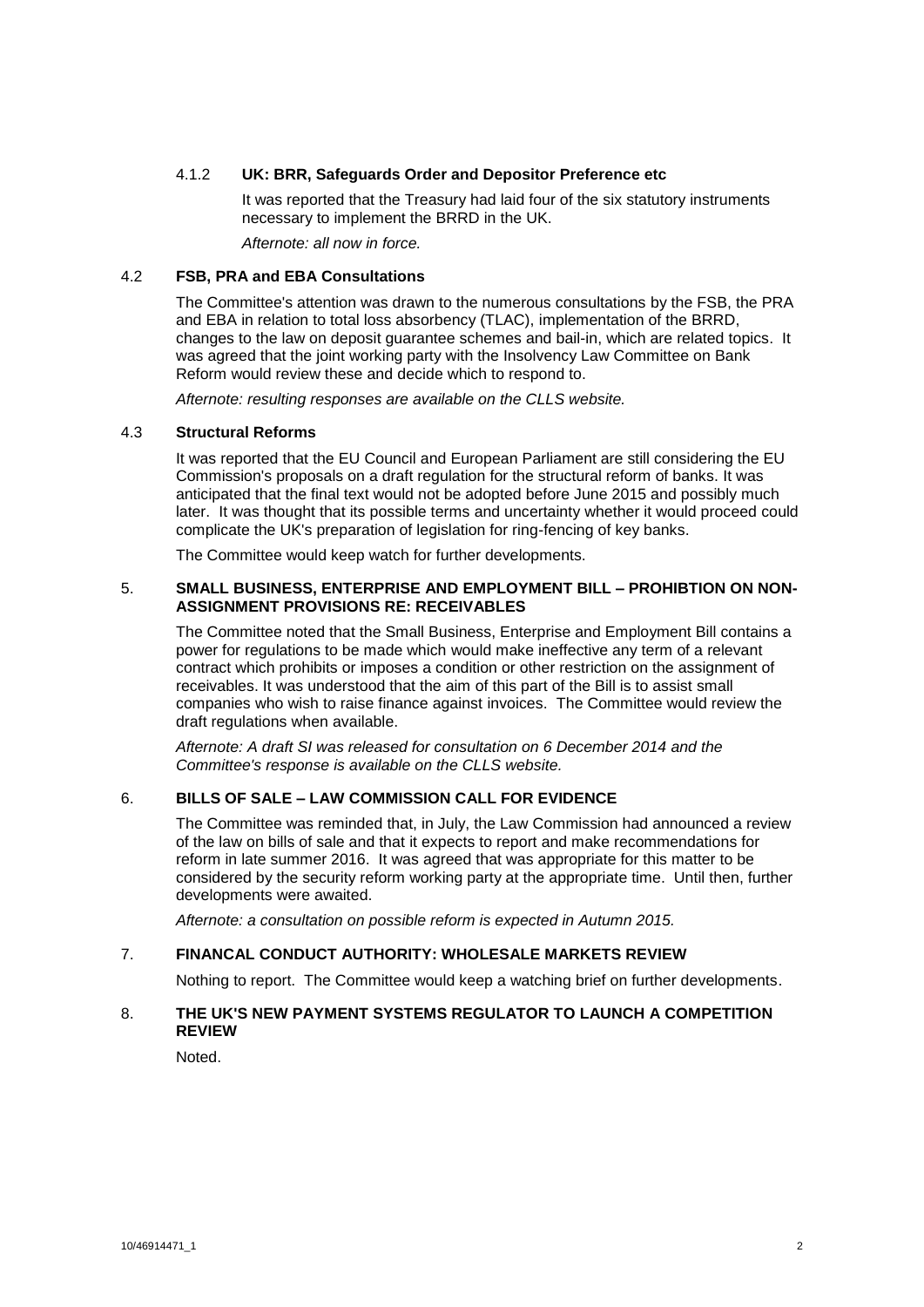# 4.1.2 **UK: BRR, Safeguards Order and Depositor Preference etc**

It was reported that the Treasury had laid four of the six statutory instruments necessary to implement the BRRD in the UK.

*Afternote: all now in force.*

#### 4.2 **FSB, PRA and EBA Consultations**

The Committee's attention was drawn to the numerous consultations by the FSB, the PRA and EBA in relation to total loss absorbency (TLAC), implementation of the BRRD, changes to the law on deposit guarantee schemes and bail-in, which are related topics. It was agreed that the joint working party with the Insolvency Law Committee on Bank Reform would review these and decide which to respond to.

*Afternote: resulting responses are available on the CLLS website.* 

#### 4.3 **Structural Reforms**

It was reported that the EU Council and European Parliament are still considering the EU Commission's proposals on a draft regulation for the structural reform of banks. It was anticipated that the final text would not be adopted before June 2015 and possibly much later. It was thought that its possible terms and uncertainty whether it would proceed could complicate the UK's preparation of legislation for ring-fencing of key banks.

The Committee would keep watch for further developments.

#### 5. **SMALL BUSINESS, ENTERPRISE AND EMPLOYMENT BILL – PROHIBTION ON NON-ASSIGNMENT PROVISIONS RE: RECEIVABLES**

The Committee noted that the Small Business, Enterprise and Employment Bill contains a power for regulations to be made which would make ineffective any term of a relevant contract which prohibits or imposes a condition or other restriction on the assignment of receivables. It was understood that the aim of this part of the Bill is to assist small companies who wish to raise finance against invoices. The Committee would review the draft regulations when available.

*Afternote: A draft SI was released for consultation on 6 December 2014 and the Committee's response is available on the CLLS website.*

# 6. **BILLS OF SALE – LAW COMMISSION CALL FOR EVIDENCE**

The Committee was reminded that, in July, the Law Commission had announced a review of the law on bills of sale and that it expects to report and make recommendations for reform in late summer 2016. It was agreed that was appropriate for this matter to be considered by the security reform working party at the appropriate time. Until then, further developments were awaited.

*Afternote: a consultation on possible reform is expected in Autumn 2015.* 

#### 7. **FINANCAL CONDUCT AUTHORITY: WHOLESALE MARKETS REVIEW**

Nothing to report. The Committee would keep a watching brief on further developments.

# 8. **THE UK'S NEW PAYMENT SYSTEMS REGULATOR TO LAUNCH A COMPETITION REVIEW**

Noted.